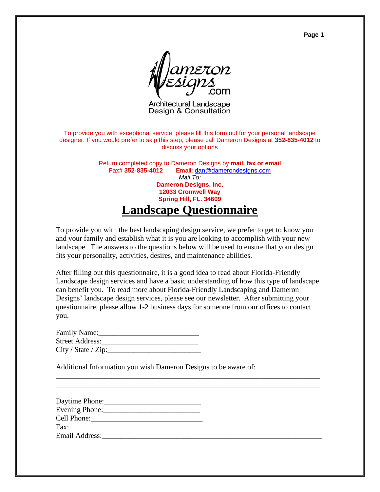**Page 1**



Architectural Landscape Design & Consultation

To provide you with exceptional service, please fill this form out for your personal landscape designer. If you would prefer to skip this step, please call Dameron Designs at **352-835-4012** to discuss your options

> Return completed copy to Dameron Designs by **mail, fax or email** Fax# **352-835-4012** Email: [dan@damerondesigns.com](mailto:dan@damerondesigns.com?subject=Landscape%20Design%20-%20Inquiry) *Mail To:* **Dameron Designs, Inc. 12033 Cromwell Way Spring Hill, FL. 34609 Landscape Questionnaire**

To provide you with the best landscaping design service, we prefer to get to know you and your family and establish what it is you are looking to accomplish with your new landscape. The answers to the questions below will be used to ensure that your design fits your personality, activities, desires, and maintenance abilities.

After filling out this questionnaire, it is a good idea to read about Florida-Friendly Landscape design services and have a basic understanding of how this type of landscape can benefit you. To read more about Florida-Friendly Landscaping and Dameron Designs' landscape design services, please see our newsletter. After submitting your questionnaire, please allow 1-2 business days for someone from our offices to contact you.

\_\_\_\_\_\_\_\_\_\_\_\_\_\_\_\_\_\_\_\_\_\_\_\_\_\_\_\_\_\_\_\_\_\_\_\_\_\_\_\_\_\_\_\_\_\_\_\_\_\_\_\_\_\_\_\_\_\_\_\_\_\_\_\_\_\_\_\_\_\_\_ \_\_\_\_\_\_\_\_\_\_\_\_\_\_\_\_\_\_\_\_\_\_\_\_\_\_\_\_\_\_\_\_\_\_\_\_\_\_\_\_\_\_\_\_\_\_\_\_\_\_\_\_\_\_\_\_\_\_\_\_\_\_\_\_\_\_\_\_\_\_\_

| Family Name:        |  |
|---------------------|--|
| Street Address:     |  |
| City / State / Zip: |  |

Additional Information you wish Dameron Designs to be aware of:

| Daytime Phone: |  |
|----------------|--|
|                |  |
|                |  |
| Fax:           |  |
| Email Address: |  |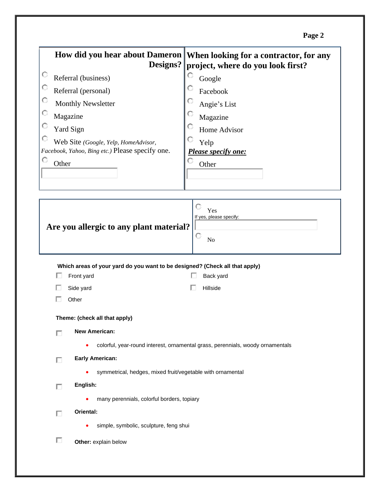| ۰ |  |
|---|--|
|---|--|

|                                                                                             | How did you hear about Dameron   When looking for a contractor, for any |  |  |  |
|---------------------------------------------------------------------------------------------|-------------------------------------------------------------------------|--|--|--|
| Designs?                                                                                    | project, where do you look first?                                       |  |  |  |
| O<br>Referral (business)                                                                    | Google                                                                  |  |  |  |
| O<br>Referral (personal)                                                                    | Facebook                                                                |  |  |  |
| O<br>Monthly Newsletter                                                                     | O<br>Angie's List                                                       |  |  |  |
| О<br>Magazine                                                                               | O<br>Magazine                                                           |  |  |  |
| O<br><b>Yard Sign</b>                                                                       | Home Advisor                                                            |  |  |  |
| $\circ$<br>Web Site (Google, Yelp, HomeAdvisor,                                             | Yelp                                                                    |  |  |  |
| Facebook, Yahoo, Bing etc.) Please specify one.                                             | Please specify one:                                                     |  |  |  |
| O<br>Other                                                                                  | Other                                                                   |  |  |  |
|                                                                                             |                                                                         |  |  |  |
|                                                                                             |                                                                         |  |  |  |
| Yes<br>If yes, please specify:<br>Are you allergic to any plant material?<br>O<br>No        |                                                                         |  |  |  |
| Which areas of your yard do you want to be designed? (Check all that apply)                 |                                                                         |  |  |  |
| Front yard                                                                                  | Back yard                                                               |  |  |  |
| Side yard<br>Hillside                                                                       |                                                                         |  |  |  |
| Other                                                                                       |                                                                         |  |  |  |
| Theme: (check all that apply)                                                               |                                                                         |  |  |  |
| New American:<br>П                                                                          |                                                                         |  |  |  |
| colorful, year-round interest, ornamental grass, perennials, woody ornamentals<br>$\bullet$ |                                                                         |  |  |  |
| <b>Early American:</b><br>П                                                                 |                                                                         |  |  |  |
| symmetrical, hedges, mixed fruit/vegetable with ornamental<br>$\bullet$                     |                                                                         |  |  |  |
| English:<br>П                                                                               |                                                                         |  |  |  |
| many perennials, colorful borders, topiary<br>٠                                             |                                                                         |  |  |  |
| Oriental:<br>П                                                                              |                                                                         |  |  |  |
| simple, symbolic, sculpture, feng shui                                                      |                                                                         |  |  |  |
| П<br>Other: explain below                                                                   |                                                                         |  |  |  |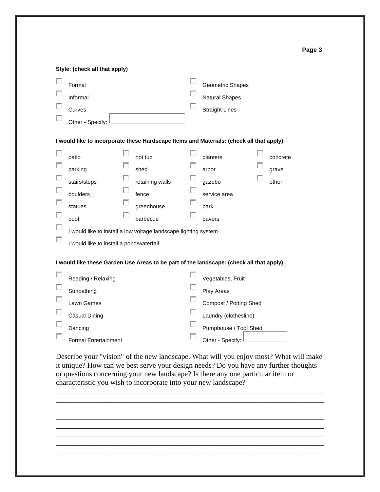|             | Style: (check all that apply)                                                                                                                                                  |                            |                                                                       |                  |                                                                                                             |                             |
|-------------|--------------------------------------------------------------------------------------------------------------------------------------------------------------------------------|----------------------------|-----------------------------------------------------------------------|------------------|-------------------------------------------------------------------------------------------------------------|-----------------------------|
|             | Formal<br>Informal<br>Curves<br>Other - Specify:                                                                                                                               |                            |                                                                       | П<br>□           | Geometric Shapes<br><b>Natural Shapes</b><br><b>Straight Lines</b>                                          |                             |
|             | I would like to incorporate these Hardscape Items and Materials: (check all that apply)                                                                                        |                            |                                                                       |                  |                                                                                                             |                             |
| П<br>ш      | patio<br>parking<br>stairs/steps<br>boulders<br>statues<br>pool<br>I would like to install a low voltage landscape lighting system<br>I would like to install a pond/waterfall | □<br>u<br>Ш<br>ப<br>□<br>Ш | hot tub<br>shed<br>retaining walls<br>fence<br>greenhouse<br>barbecue | u<br>$\Box$<br>U | planters<br>arbor<br>gazebo<br>service area<br>bark<br>pavers                                               | concrete<br>gravel<br>other |
|             | I would like these Garden Use Areas to be part of the landscape: (check all that apply)                                                                                        |                            |                                                                       |                  |                                                                                                             |                             |
| □<br>ш<br>L | Reading / Relaxing<br>Sunbathing<br>Lawn Games<br>Casual Dining<br>Dancing                                                                                                     |                            |                                                                       | □<br>П<br>П      | Vegetables, Fruit<br>Play Areas<br>Compost / Potting Shed<br>Laundry (clothesline)<br>Pumphouse / Tool Shed |                             |
|             | <b>Formal Entertainment</b>                                                                                                                                                    |                            |                                                                       |                  | Other - Specify:                                                                                            |                             |

Describe your "vision" of the new landscape. What will you enjoy most? What will make it unique? How can we best serve your design needs? Do you have any further thoughts or questions concerning your new landscape? Is there any one particular item or characteristic you wish to incorporate into your new landscape?



**Page 3**